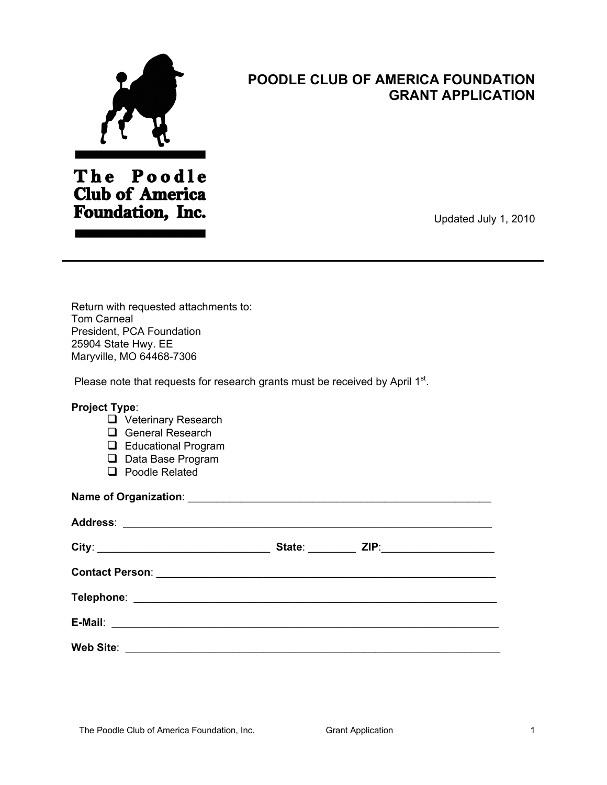

## **POODLE CLUB OF AMERICA FOUNDATION GRANT APPLICATION**

The Poodle **Club of America** Foundation, Inc.

Updated July 1, 2010

Return with requested attachments to: Tom Carneal President, PCA Foundation 25904 State Hwy. EE Maryville, MO 64468-7306

Please note that requests for research grants must be received by April 1st.

## **Project Type**:

- **Q** Veterinary Research
- General Research
- **Educational Program**
- D Data Base Program
- □ Poodle Related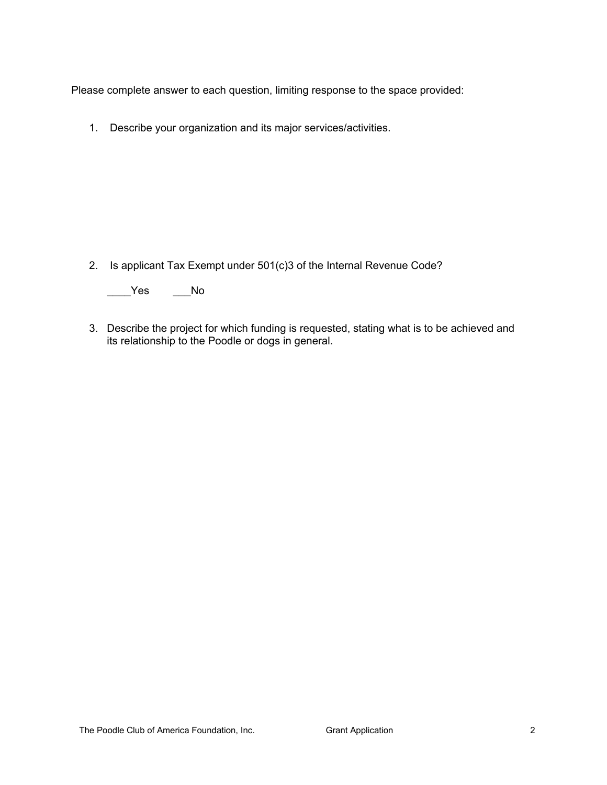Please complete answer to each question, limiting response to the space provided:

1. Describe your organization and its major services/activities.

2. Is applicant Tax Exempt under 501(c)3 of the Internal Revenue Code?

\_\_\_\_Yes \_\_\_No

3. Describe the project for which funding is requested, stating what is to be achieved and its relationship to the Poodle or dogs in general.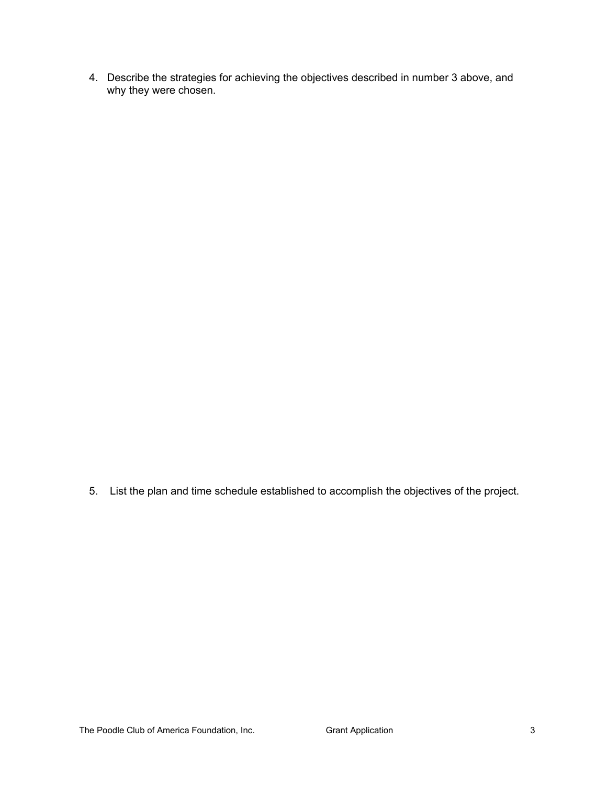4. Describe the strategies for achieving the objectives described in number 3 above, and why they were chosen.

5. List the plan and time schedule established to accomplish the objectives of the project.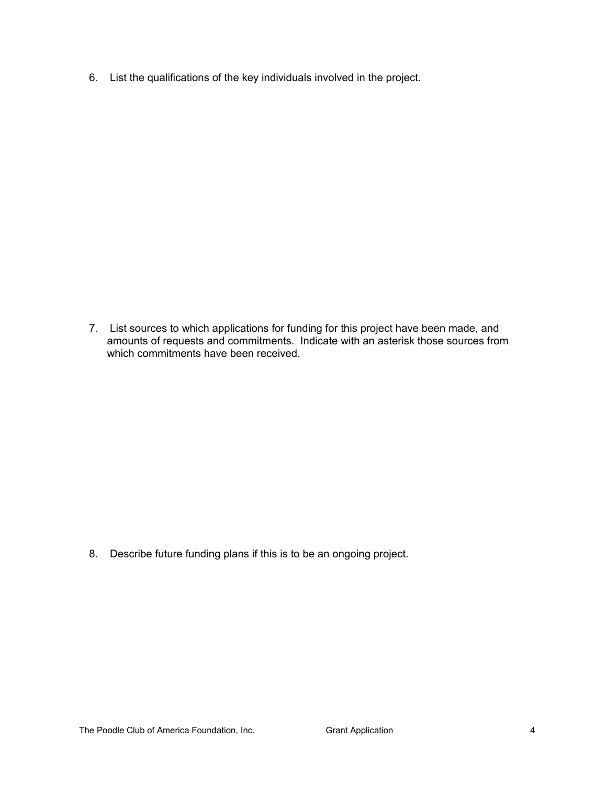6. List the qualifications of the key individuals involved in the project.

7. List sources to which applications for funding for this project have been made, and amounts of requests and commitments. Indicate with an asterisk those sources from which commitments have been received.

8. Describe future funding plans if this is to be an ongoing project.